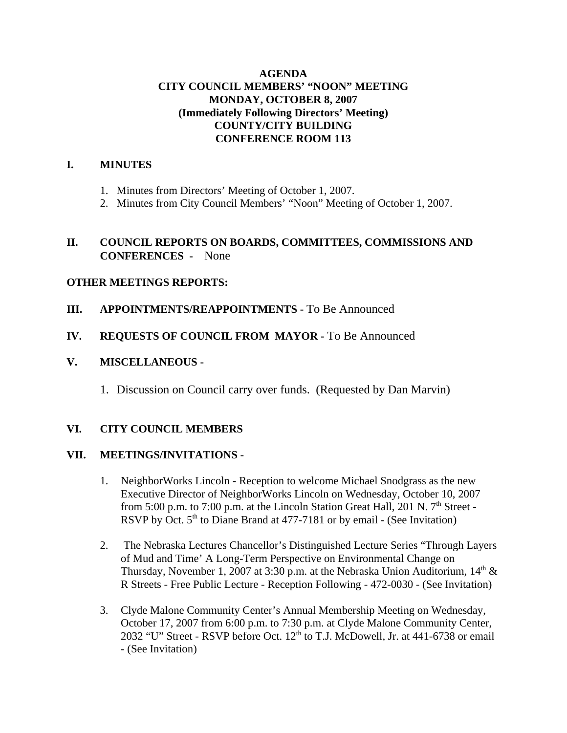## **AGENDA CITY COUNCIL MEMBERS' "NOON" MEETING MONDAY, OCTOBER 8, 2007 (Immediately Following Directors' Meeting) COUNTY/CITY BUILDING CONFERENCE ROOM 113**

### **I. MINUTES**

- 1. Minutes from Directors' Meeting of October 1, 2007.
- 2. Minutes from City Council Members' "Noon" Meeting of October 1, 2007.

### **II. COUNCIL REPORTS ON BOARDS, COMMITTEES, COMMISSIONS AND CONFERENCES -** None

## **OTHER MEETINGS REPORTS:**

- **III.** APPOINTMENTS/REAPPOINTMENTS To Be Announced
- **IV. REQUESTS OF COUNCIL FROM MAYOR -** To Be Announced

# **V. MISCELLANEOUS -**

1. Discussion on Council carry over funds. (Requested by Dan Marvin)

## **VI. CITY COUNCIL MEMBERS**

## **VII. MEETINGS/INVITATIONS** -

- 1. NeighborWorks Lincoln Reception to welcome Michael Snodgrass as the new Executive Director of NeighborWorks Lincoln on Wednesday, October 10, 2007 from 5:00 p.m. to 7:00 p.m. at the Lincoln Station Great Hall, 201 N.  $7<sup>th</sup>$  Street -RSVP by Oct.  $5<sup>th</sup>$  to Diane Brand at 477-7181 or by email - (See Invitation)
- 2. The Nebraska Lectures Chancellor's Distinguished Lecture Series "Through Layers of Mud and Time' A Long-Term Perspective on Environmental Change on Thursday, November 1, 2007 at 3:30 p.m. at the Nebraska Union Auditorium,  $14<sup>th</sup>$  & R Streets - Free Public Lecture - Reception Following - 472-0030 - (See Invitation)
- 3. Clyde Malone Community Center's Annual Membership Meeting on Wednesday, October 17, 2007 from 6:00 p.m. to 7:30 p.m. at Clyde Malone Community Center, 2032 "U" Street - RSVP before Oct.  $12<sup>th</sup>$  to T.J. McDowell, Jr. at 441-6738 or email - (See Invitation)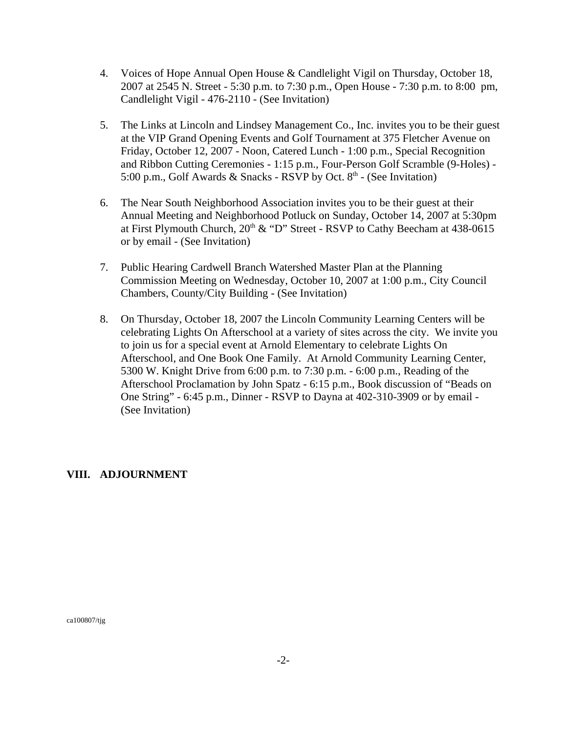- 4. Voices of Hope Annual Open House & Candlelight Vigil on Thursday, October 18, 2007 at 2545 N. Street - 5:30 p.m. to 7:30 p.m., Open House - 7:30 p.m. to 8:00 pm, Candlelight Vigil - 476-2110 - (See Invitation)
- 5. The Links at Lincoln and Lindsey Management Co., Inc. invites you to be their guest at the VIP Grand Opening Events and Golf Tournament at 375 Fletcher Avenue on Friday, October 12, 2007 - Noon, Catered Lunch - 1:00 p.m., Special Recognition and Ribbon Cutting Ceremonies - 1:15 p.m., Four-Person Golf Scramble (9-Holes) - 5:00 p.m., Golf Awards & Snacks - RSVP by Oct.  $8<sup>th</sup>$  - (See Invitation)
- 6. The Near South Neighborhood Association invites you to be their guest at their Annual Meeting and Neighborhood Potluck on Sunday, October 14, 2007 at 5:30pm at First Plymouth Church,  $20<sup>th</sup>$  & "D" Street - RSVP to Cathy Beecham at 438-0615 or by email - (See Invitation)
- 7. Public Hearing Cardwell Branch Watershed Master Plan at the Planning Commission Meeting on Wednesday, October 10, 2007 at 1:00 p.m., City Council Chambers, County/City Building - (See Invitation)
- 8. On Thursday, October 18, 2007 the Lincoln Community Learning Centers will be celebrating Lights On Afterschool at a variety of sites across the city. We invite you to join us for a special event at Arnold Elementary to celebrate Lights On Afterschool, and One Book One Family. At Arnold Community Learning Center, 5300 W. Knight Drive from 6:00 p.m. to 7:30 p.m. - 6:00 p.m., Reading of the Afterschool Proclamation by John Spatz - 6:15 p.m., Book discussion of "Beads on One String" - 6:45 p.m., Dinner - RSVP to Dayna at 402-310-3909 or by email - (See Invitation)

### **VIII. ADJOURNMENT**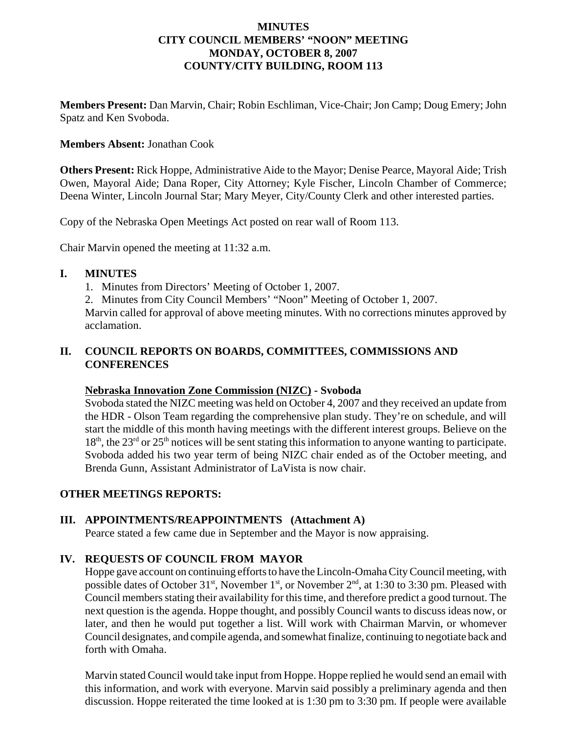### **MINUTES CITY COUNCIL MEMBERS' "NOON" MEETING MONDAY, OCTOBER 8, 2007 COUNTY/CITY BUILDING, ROOM 113**

**Members Present:** Dan Marvin, Chair; Robin Eschliman, Vice-Chair; Jon Camp; Doug Emery; John Spatz and Ken Svoboda.

### **Members Absent:** Jonathan Cook

**Others Present:** Rick Hoppe, Administrative Aide to the Mayor; Denise Pearce, Mayoral Aide; Trish Owen, Mayoral Aide; Dana Roper, City Attorney; Kyle Fischer, Lincoln Chamber of Commerce; Deena Winter, Lincoln Journal Star; Mary Meyer, City/County Clerk and other interested parties.

Copy of the Nebraska Open Meetings Act posted on rear wall of Room 113.

Chair Marvin opened the meeting at 11:32 a.m.

## **I. MINUTES**

- 1. Minutes from Directors' Meeting of October 1, 2007.
- 2. Minutes from City Council Members' "Noon" Meeting of October 1, 2007.

Marvin called for approval of above meeting minutes. With no corrections minutes approved by acclamation.

## **II. COUNCIL REPORTS ON BOARDS, COMMITTEES, COMMISSIONS AND CONFERENCES**

### **Nebraska Innovation Zone Commission (NIZC) - Svoboda**

Svoboda stated the NIZC meeting was held on October 4, 2007 and they received an update from the HDR - Olson Team regarding the comprehensive plan study. They're on schedule, and will start the middle of this month having meetings with the different interest groups. Believe on the  $18<sup>th</sup>$ , the  $23<sup>rd</sup>$  or  $25<sup>th</sup>$  notices will be sent stating this information to anyone wanting to participate. Svoboda added his two year term of being NIZC chair ended as of the October meeting, and Brenda Gunn, Assistant Administrator of LaVista is now chair.

## **OTHER MEETINGS REPORTS:**

## **III. APPOINTMENTS/REAPPOINTMENTS (Attachment A)**

Pearce stated a few came due in September and the Mayor is now appraising.

## **IV. REQUESTS OF COUNCIL FROM MAYOR**

Hoppe gave account on continuing efforts to have the Lincoln-Omaha City Council meeting, with possible dates of October 31<sup>st</sup>, November 1<sup>st</sup>, or November 2<sup>nd</sup>, at 1:30 to 3:30 pm. Pleased with Council members stating their availability for this time, and therefore predict a good turnout. The next question is the agenda. Hoppe thought, and possibly Council wants to discuss ideas now, or later, and then he would put together a list. Will work with Chairman Marvin, or whomever Council designates, and compile agenda, and somewhat finalize, continuing to negotiate back and forth with Omaha.

Marvin stated Council would take input from Hoppe. Hoppe replied he would send an email with this information, and work with everyone. Marvin said possibly a preliminary agenda and then discussion. Hoppe reiterated the time looked at is 1:30 pm to 3:30 pm. If people were available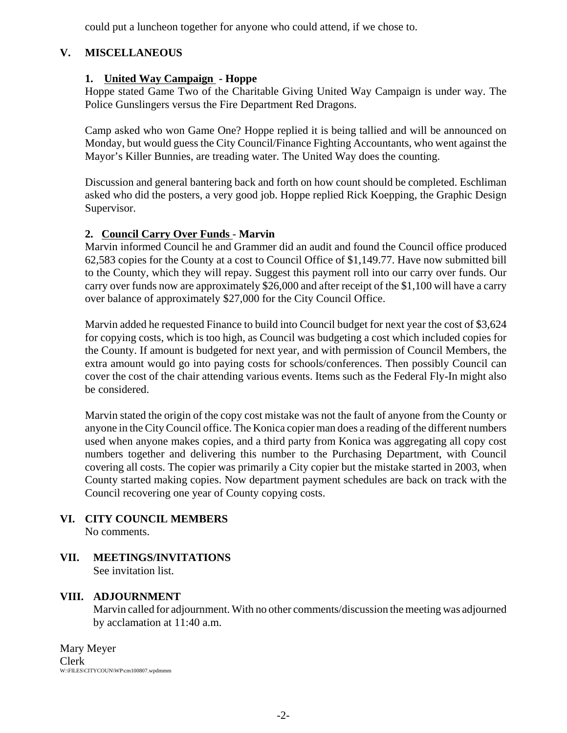could put a luncheon together for anyone who could attend, if we chose to.

# **V. MISCELLANEOUS**

# **1. United Way Campaign - Hoppe**

Hoppe stated Game Two of the Charitable Giving United Way Campaign is under way. The Police Gunslingers versus the Fire Department Red Dragons.

Camp asked who won Game One? Hoppe replied it is being tallied and will be announced on Monday, but would guess the City Council/Finance Fighting Accountants, who went against the Mayor's Killer Bunnies, are treading water. The United Way does the counting.

Discussion and general bantering back and forth on how count should be completed. Eschliman asked who did the posters, a very good job. Hoppe replied Rick Koepping, the Graphic Design Supervisor.

## **2. Council Carry Over Funds** - **Marvin**

Marvin informed Council he and Grammer did an audit and found the Council office produced 62,583 copies for the County at a cost to Council Office of \$1,149.77. Have now submitted bill to the County, which they will repay. Suggest this payment roll into our carry over funds. Our carry over funds now are approximately \$26,000 and after receipt of the \$1,100 will have a carry over balance of approximately \$27,000 for the City Council Office.

Marvin added he requested Finance to build into Council budget for next year the cost of \$3,624 for copying costs, which is too high, as Council was budgeting a cost which included copies for the County. If amount is budgeted for next year, and with permission of Council Members, the extra amount would go into paying costs for schools/conferences. Then possibly Council can cover the cost of the chair attending various events. Items such as the Federal Fly-In might also be considered.

Marvin stated the origin of the copy cost mistake was not the fault of anyone from the County or anyone in the City Council office. The Konica copier man does a reading of the different numbers used when anyone makes copies, and a third party from Konica was aggregating all copy cost numbers together and delivering this number to the Purchasing Department, with Council covering all costs. The copier was primarily a City copier but the mistake started in 2003, when County started making copies. Now department payment schedules are back on track with the Council recovering one year of County copying costs.

- **VI. CITY COUNCIL MEMBERS** No comments.
- **VII. MEETINGS/INVITATIONS** See invitation list.

## **VIII. ADJOURNMENT**

Marvin called for adjournment. With no other comments/discussion the meeting was adjourned by acclamation at 11:40 a.m.

Mary Meyer Clerk W:\FILES\CITYCOUN\WP\cm100807.wpdmmm